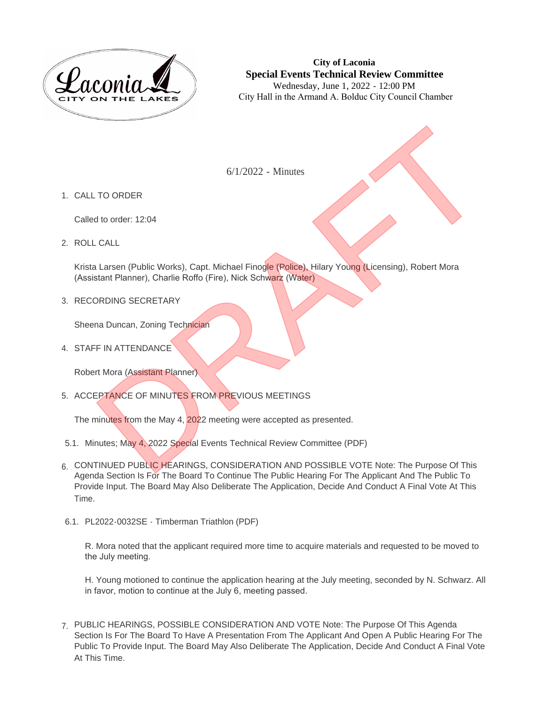

**City of Laconia Special Events Technical Review Committee** Wednesday, June 1, 2022 - 12:00 PM City Hall in the Armand A. Bolduc City Council Chamber

6/1/2022 - Minutes

1. CALL TO ORDER

Called to order: 12:04

ROLL CALL 2.

Krista Larsen (Public Works), Capt. Michael Finogle (Police), Hilary Young (Licensing), Robert Mora (Assistant Planner), Charlie Roffo (Fire), Nick Schwarz (Water) 6/1/2022 - Minutes<br>
10 order: 12:04<br>
12 Larsen (Public Works), Capt. Michael Finagle (Police), Hilary Young (Licensing), Robert Mora<br>
13 Larsen (Public Works), Capt. Michael Finagle (Police), Hilary Young (Licensing), Robe

3. RECORDING SECRETARY

Sheena Duncan, Zoning Technician

4. STAFF IN ATTENDANCE

Robert Mora (Assistant Planner)

5. ACCEPTANCE OF MINUTES FROM PREVIOUS MEETINGS

The minutes from the May 4, 2022 meeting were accepted as presented.

- 5.1. Minutes; May 4, 2022 Special Events Technical Review Committee (PDF)
- 6. CONTINUED PUBLIC HEARINGS, CONSIDERATION AND POSSIBLE VOTE Note: The Purpose Of This Agenda Section Is For The Board To Continue The Public Hearing For The Applicant And The Public To Provide Input. The Board May Also Deliberate The Application, Decide And Conduct A Final Vote At This Time.
- 6.1. PL2022-0032SE Timberman Triathlon (PDF)

R. Mora noted that the applicant required more time to acquire materials and requested to be moved to the July meeting.

H. Young motioned to continue the application hearing at the July meeting, seconded by N. Schwarz. All in favor, motion to continue at the July 6, meeting passed.

PUBLIC HEARINGS, POSSIBLE CONSIDERATION AND VOTE Note: The Purpose Of This Agenda 7. Section Is For The Board To Have A Presentation From The Applicant And Open A Public Hearing For The Public To Provide Input. The Board May Also Deliberate The Application, Decide And Conduct A Final Vote At This Time.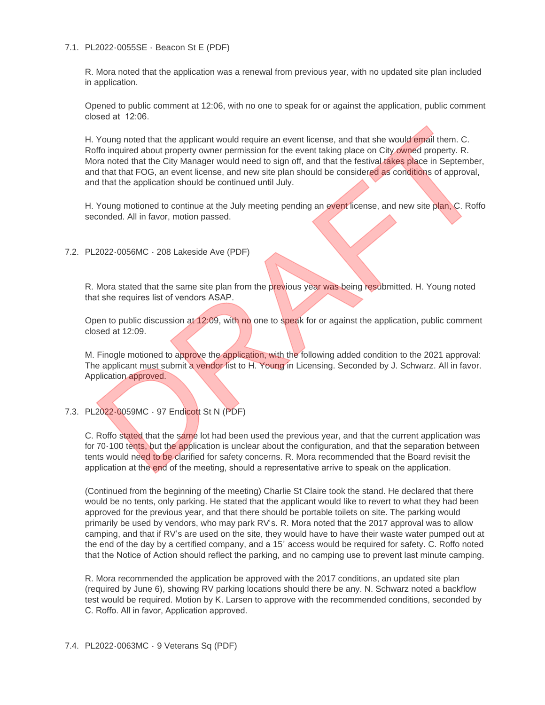### 7.1. PL2022-0055SE - Beacon St E (PDF)

R. Mora noted that the application was a renewal from previous year, with no updated site plan included in application.

Opened to public comment at 12:06, with no one to speak for or against the application, public comment closed at 12:06.

H. Young noted that the applicant would require an event license, and that she would email them. C. Roffo inquired about property owner permission for the event taking place on City owned property. R. Mora noted that the City Manager would need to sign off, and that the festival takes place in September, and that that FOG, an event license, and new site plan should be considered as conditions of approval, and that the application should be continued until July. Young noted that the applicant would require an event license, and that she would email them. C.<br>Mo inquired about property owner permission for the event taking place on City owned property. R.<br>The moted that the City Man

H. Young motioned to continue at the July meeting pending an event license, and new site plan, C. Roffo seconded. All in favor, motion passed.

PL2022-0056MC - 208 Lakeside Ave (PDF) 7.2.

R. Mora stated that the same site plan from the previous year was being resubmitted. H. Young noted that she requires list of vendors ASAP.

Open to public discussion at 12:09, with no one to speak for or against the application, public comment closed at 12:09.

M. Finogle motioned to approve the application, with the following added condition to the 2021 approval: The applicant must submit a vendor list to H. Young in Licensing. Seconded by J. Schwarz. All in favor. Application approved.

# 7.3. PL2022-0059MC - 97 Endicott St N (PDF)

C. Roffo stated that the same lot had been used the previous year, and that the current application was for 70-100 tents, but the application is unclear about the configuration, and that the separation between tents would need to be clarified for safety concerns. R. Mora recommended that the Board revisit the application at the end of the meeting, should a representative arrive to speak on the application.

(Continued from the beginning of the meeting) Charlie St Claire took the stand. He declared that there would be no tents, only parking. He stated that the applicant would like to revert to what they had been approved for the previous year, and that there should be portable toilets on site. The parking would primarily be used by vendors, who may park RV's. R. Mora noted that the 2017 approval was to allow camping, and that if RV's are used on the site, they would have to have their waste water pumped out at the end of the day by a certified company, and a 15' access would be required for safety. C. Roffo noted that the Notice of Action should reflect the parking, and no camping use to prevent last minute camping.

R. Mora recommended the application be approved with the 2017 conditions, an updated site plan (required by June 6), showing RV parking locations should there be any. N. Schwarz noted a backflow test would be required. Motion by K. Larsen to approve with the recommended conditions, seconded by C. Roffo. All in favor, Application approved.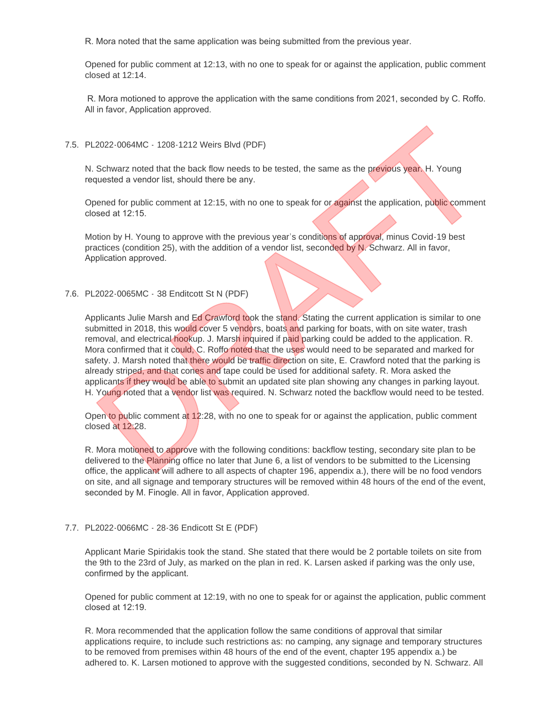R. Mora noted that the same application was being submitted from the previous year.

Opened for public comment at 12:13, with no one to speak for or against the application, public comment closed at 12:14.

 R. Mora motioned to approve the application with the same conditions from 2021, seconded by C. Roffo. All in favor, Application approved.

# PL2022-0064MC - 1208-1212 Weirs Blvd (PDF) 7.5.

N. Schwarz noted that the back flow needs to be tested, the same as the previous year. H. Young requested a vendor list, should there be any.

Opened for public comment at 12:15, with no one to speak for or against the application, public comment closed at 12:15.

Motion by H. Young to approve with the previous year's conditions of approval, minus Covid-19 best practices (condition 25), with the addition of a vendor list, seconded by N. Schwarz. All in favor, Application approved.

## PL2022-0065MC - 38 Enditcott St N (PDF) 7.6.

Applicants Julie Marsh and Ed Crawford took the stand. Stating the current application is similar to one submitted in 2018, this would cover 5 vendors, boats and parking for boats, with on site water, trash removal, and electrical hookup. J. Marsh inquired if paid parking could be added to the application. R. Mora confirmed that it could, C. Roffo noted that the uses would need to be separated and marked for safety. J. Marsh noted that there would be traffic direction on site, E. Crawford noted that the parking is already striped, and that cones and tape could be used for additional safety. R. Mora asked the applicants if they would be able to submit an updated site plan showing any changes in parking layout. H. Young noted that a vendor list was required. N. Schwarz noted the backflow would need to be tested. 2022-0064MC - 1208-1212 Weirs Blvd (PDF)<br>Schwarz noted that the back flow needs to be tested, the same as the previous year. H. Young<br>quested a vendor list, should there be any.<br>Seed at 12:15, with no one to speak for or a

Open to public comment at 12:28, with no one to speak for or against the application, public comment closed at 12:28.

R. Mora motioned to approve with the following conditions: backflow testing, secondary site plan to be delivered to the Planning office no later that June 6, a list of vendors to be submitted to the Licensing office, the applicant will adhere to all aspects of chapter 196, appendix a.), there will be no food vendors on site, and all signage and temporary structures will be removed within 48 hours of the end of the event, seconded by M. Finogle. All in favor, Application approved.

#### PL2022-0066MC - 28-36 Endicott St E (PDF) 7.7.

Applicant Marie Spiridakis took the stand. She stated that there would be 2 portable toilets on site from the 9th to the 23rd of July, as marked on the plan in red. K. Larsen asked if parking was the only use, confirmed by the applicant.

Opened for public comment at 12:19, with no one to speak for or against the application, public comment closed at 12:19.

R. Mora recommended that the application follow the same conditions of approval that similar applications require, to include such restrictions as: no camping, any signage and temporary structures to be removed from premises within 48 hours of the end of the event, chapter 195 appendix a.) be adhered to. K. Larsen motioned to approve with the suggested conditions, seconded by N. Schwarz. All